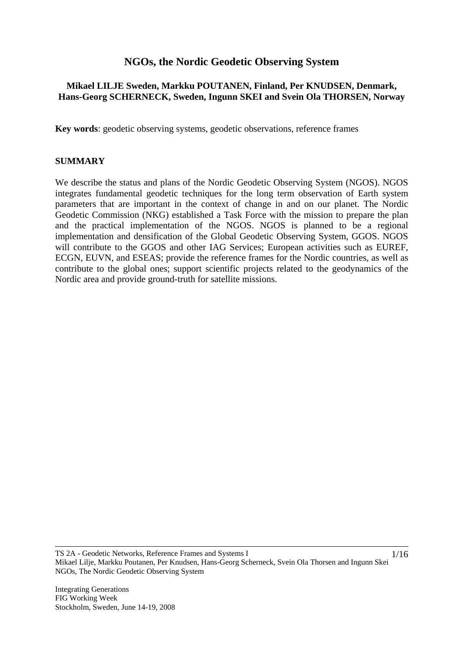# **NGOs, the Nordic Geodetic Observing System**

# **Mikael LILJE Sweden, Markku POUTANEN, Finland, Per KNUDSEN, Denmark, Hans-Georg SCHERNECK, Sweden, Ingunn SKEI and Svein Ola THORSEN, Norway**

**Key words**: geodetic observing systems, geodetic observations, reference frames

#### **SUMMARY**

We describe the status and plans of the Nordic Geodetic Observing System (NGOS). NGOS integrates fundamental geodetic techniques for the long term observation of Earth system parameters that are important in the context of change in and on our planet. The Nordic Geodetic Commission (NKG) established a Task Force with the mission to prepare the plan and the practical implementation of the NGOS. NGOS is planned to be a regional implementation and densification of the Global Geodetic Observing System, GGOS. NGOS will contribute to the GGOS and other IAG Services; European activities such as EUREF, ECGN, EUVN, and ESEAS; provide the reference frames for the Nordic countries, as well as contribute to the global ones; support scientific projects related to the geodynamics of the Nordic area and provide ground-truth for satellite missions.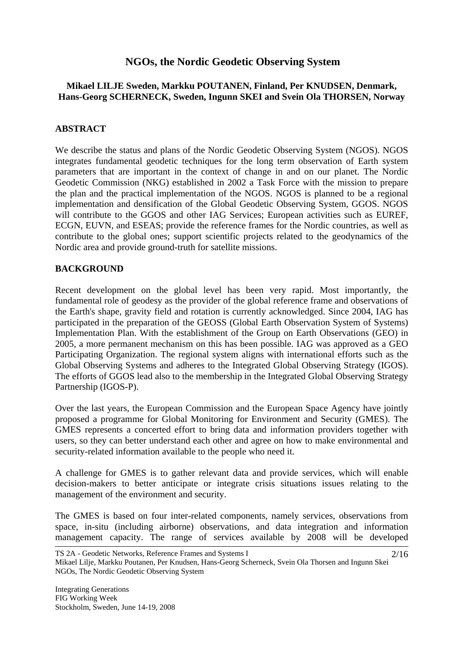# **NGOs, the Nordic Geodetic Observing System**

# **Mikael LILJE Sweden, Markku POUTANEN, Finland, Per KNUDSEN, Denmark, Hans-Georg SCHERNECK, Sweden, Ingunn SKEI and Svein Ola THORSEN, Norway**

# **ABSTRACT**

We describe the status and plans of the Nordic Geodetic Observing System (NGOS). NGOS integrates fundamental geodetic techniques for the long term observation of Earth system parameters that are important in the context of change in and on our planet. The Nordic Geodetic Commission (NKG) established in 2002 a Task Force with the mission to prepare the plan and the practical implementation of the NGOS. NGOS is planned to be a regional implementation and densification of the Global Geodetic Observing System, GGOS. NGOS will contribute to the GGOS and other IAG Services; European activities such as EUREF, ECGN, EUVN, and ESEAS; provide the reference frames for the Nordic countries, as well as contribute to the global ones; support scientific projects related to the geodynamics of the Nordic area and provide ground-truth for satellite missions.

# **BACKGROUND**

Recent development on the global level has been very rapid. Most importantly, the fundamental role of geodesy as the provider of the global reference frame and observations of the Earth's shape, gravity field and rotation is currently acknowledged. Since 2004, IAG has participated in the preparation of the GEOSS (Global Earth Observation System of Systems) Implementation Plan. With the establishment of the Group on Earth Observations (GEO) in 2005, a more permanent mechanism on this has been possible. IAG was approved as a GEO Participating Organization. The regional system aligns with international efforts such as the Global Observing Systems and adheres to the Integrated Global Observing Strategy (IGOS). The efforts of GGOS lead also to the membership in the Integrated Global Observing Strategy Partnership (IGOS-P).

Over the last years, the European Commission and the European Space Agency have jointly proposed a programme for Global Monitoring for Environment and Security (GMES). The GMES represents a concerted effort to bring data and information providers together with users, so they can better understand each other and agree on how to make environmental and security-related information available to the people who need it.

A challenge for GMES is to gather relevant data and provide services, which will enable decision-makers to better anticipate or integrate crisis situations issues relating to the management of the environment and security.

The GMES is based on four inter-related components, namely services, observations from space, in-situ (including airborne) observations, and data integration and information management capacity. The range of services available by 2008 will be developed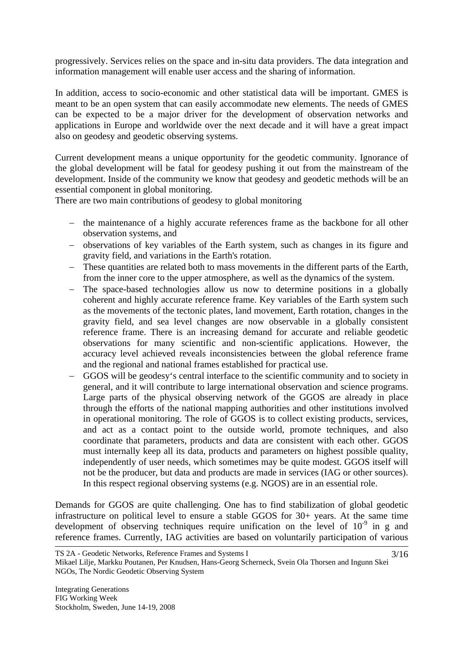progressively. Services relies on the space and in-situ data providers. The data integration and information management will enable user access and the sharing of information.

In addition, access to socio-economic and other statistical data will be important. GMES is meant to be an open system that can easily accommodate new elements. The needs of GMES can be expected to be a major driver for the development of observation networks and applications in Europe and worldwide over the next decade and it will have a great impact also on geodesy and geodetic observing systems.

Current development means a unique opportunity for the geodetic community. Ignorance of the global development will be fatal for geodesy pushing it out from the mainstream of the development. Inside of the community we know that geodesy and geodetic methods will be an essential component in global monitoring.

There are two main contributions of geodesy to global monitoring

- − the maintenance of a highly accurate references frame as the backbone for all other observation systems, and
- − observations of key variables of the Earth system, such as changes in its figure and gravity field, and variations in the Earth's rotation.
- − These quantities are related both to mass movements in the different parts of the Earth, from the inner core to the upper atmosphere, as well as the dynamics of the system.
- − The space-based technologies allow us now to determine positions in a globally coherent and highly accurate reference frame. Key variables of the Earth system such as the movements of the tectonic plates, land movement, Earth rotation, changes in the gravity field, and sea level changes are now observable in a globally consistent reference frame. There is an increasing demand for accurate and reliable geodetic observations for many scientific and non-scientific applications. However, the accuracy level achieved reveals inconsistencies between the global reference frame and the regional and national frames established for practical use.
- GGOS will be geodesy's central interface to the scientific community and to society in general, and it will contribute to large international observation and science programs. Large parts of the physical observing network of the GGOS are already in place through the efforts of the national mapping authorities and other institutions involved in operational monitoring. The role of GGOS is to collect existing products, services, and act as a contact point to the outside world, promote techniques, and also coordinate that parameters, products and data are consistent with each other. GGOS must internally keep all its data, products and parameters on highest possible quality, independently of user needs, which sometimes may be quite modest. GGOS itself will not be the producer, but data and products are made in services (IAG or other sources). In this respect regional observing systems (e.g. NGOS) are in an essential role.

Demands for GGOS are quite challenging. One has to find stabilization of global geodetic infrastructure on political level to ensure a stable GGOS for 30+ years. At the same time development of observing techniques require unification on the level of  $10^{-9}$  in g and reference frames. Currently, IAG activities are based on voluntarily participation of various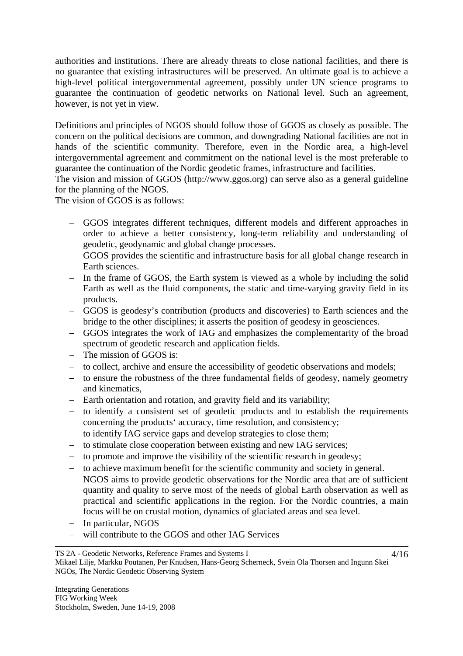authorities and institutions. There are already threats to close national facilities, and there is no guarantee that existing infrastructures will be preserved. An ultimate goal is to achieve a high-level political intergovernmental agreement, possibly under UN science programs to guarantee the continuation of geodetic networks on National level. Such an agreement, however, is not yet in view.

Definitions and principles of NGOS should follow those of GGOS as closely as possible. The concern on the political decisions are common, and downgrading National facilities are not in hands of the scientific community. Therefore, even in the Nordic area, a high-level intergovernmental agreement and commitment on the national level is the most preferable to guarantee the continuation of the Nordic geodetic frames, infrastructure and facilities.

The vision and mission of GGOS (http://www.ggos.org) can serve also as a general guideline for the planning of the NGOS.

The vision of GGOS is as follows:

- − GGOS integrates different techniques, different models and different approaches in order to achieve a better consistency, long-term reliability and understanding of geodetic, geodynamic and global change processes.
- − GGOS provides the scientific and infrastructure basis for all global change research in Earth sciences.
- − In the frame of GGOS, the Earth system is viewed as a whole by including the solid Earth as well as the fluid components, the static and time-varying gravity field in its products.
- − GGOS is geodesy's contribution (products and discoveries) to Earth sciences and the bridge to the other disciplines; it asserts the position of geodesy in geosciences.
- − GGOS integrates the work of IAG and emphasizes the complementarity of the broad spectrum of geodetic research and application fields.
- − The mission of GGOS is:
- − to collect, archive and ensure the accessibility of geodetic observations and models;
- − to ensure the robustness of the three fundamental fields of geodesy, namely geometry and kinematics,
- − Earth orientation and rotation, and gravity field and its variability;
- − to identify a consistent set of geodetic products and to establish the requirements concerning the products' accuracy, time resolution, and consistency;
- − to identify IAG service gaps and develop strategies to close them;
- − to stimulate close cooperation between existing and new IAG services;
- − to promote and improve the visibility of the scientific research in geodesy;
- − to achieve maximum benefit for the scientific community and society in general.
- − NGOS aims to provide geodetic observations for the Nordic area that are of sufficient quantity and quality to serve most of the needs of global Earth observation as well as practical and scientific applications in the region. For the Nordic countries, a main focus will be on crustal motion, dynamics of glaciated areas and sea level.
- − In particular, NGOS
- − will contribute to the GGOS and other IAG Services

#### TS 2A - Geodetic Networks, Reference Frames and Systems I Mikael Lilje, Markku Poutanen, Per Knudsen, Hans-Georg Scherneck, Svein Ola Thorsen and Ingunn Skei NGOs, The Nordic Geodetic Observing System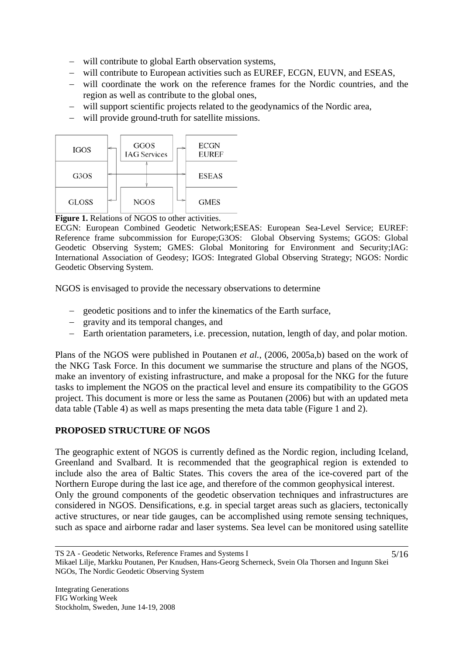- − will contribute to global Earth observation systems,
- − will contribute to European activities such as EUREF, ECGN, EUVN, and ESEAS,
- − will coordinate the work on the reference frames for the Nordic countries, and the region as well as contribute to the global ones,
- − will support scientific projects related to the geodynamics of the Nordic area,
- − will provide ground-truth for satellite missions.



**Figure 1.** Relations of NGOS to other activities.

ECGN: European Combined Geodetic Network;ESEAS: European Sea-Level Service; EUREF: Reference frame subcommission for Europe;G3OS: Global Observing Systems; GGOS: Global Geodetic Observing System; GMES: Global Monitoring for Environment and Security;IAG: International Association of Geodesy; IGOS: Integrated Global Observing Strategy; NGOS: Nordic Geodetic Observing System.

NGOS is envisaged to provide the necessary observations to determine

- − geodetic positions and to infer the kinematics of the Earth surface,
- − gravity and its temporal changes, and
- − Earth orientation parameters, i.e. precession, nutation, length of day, and polar motion.

Plans of the NGOS were published in Poutanen *et al.*, (2006, 2005a,b) based on the work of the NKG Task Force. In this document we summarise the structure and plans of the NGOS, make an inventory of existing infrastructure, and make a proposal for the NKG for the future tasks to implement the NGOS on the practical level and ensure its compatibility to the GGOS project. This document is more or less the same as Poutanen (2006) but with an updated meta data table (Table 4) as well as maps presenting the meta data table (Figure 1 and 2).

# **PROPOSED STRUCTURE OF NGOS**

The geographic extent of NGOS is currently defined as the Nordic region, including Iceland, Greenland and Svalbard. It is recommended that the geographical region is extended to include also the area of Baltic States. This covers the area of the ice-covered part of the Northern Europe during the last ice age, and therefore of the common geophysical interest. Only the ground components of the geodetic observation techniques and infrastructures are considered in NGOS. Densifications, e.g. in special target areas such as glaciers, tectonically active structures, or near tide gauges, can be accomplished using remote sensing techniques, such as space and airborne radar and laser systems. Sea level can be monitored using satellite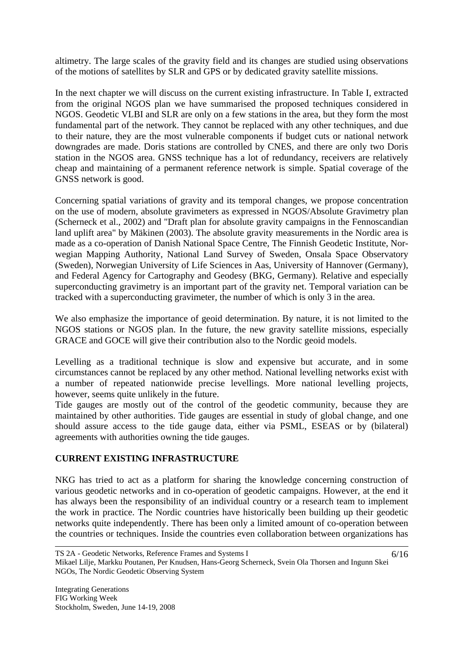altimetry. The large scales of the gravity field and its changes are studied using observations of the motions of satellites by SLR and GPS or by dedicated gravity satellite missions.

In the next chapter we will discuss on the current existing infrastructure. In Table I, extracted from the original NGOS plan we have summarised the proposed techniques considered in NGOS. Geodetic VLBI and SLR are only on a few stations in the area, but they form the most fundamental part of the network. They cannot be replaced with any other techniques, and due to their nature, they are the most vulnerable components if budget cuts or national network downgrades are made. Doris stations are controlled by CNES, and there are only two Doris station in the NGOS area. GNSS technique has a lot of redundancy, receivers are relatively cheap and maintaining of a permanent reference network is simple. Spatial coverage of the GNSS network is good.

Concerning spatial variations of gravity and its temporal changes, we propose concentration on the use of modern, absolute gravimeters as expressed in NGOS/Absolute Gravimetry plan (Scherneck et al., 2002) and "Draft plan for absolute gravity campaigns in the Fennoscandian land uplift area" by Mäkinen (2003). The absolute gravity measurements in the Nordic area is made as a co-operation of Danish National Space Centre, The Finnish Geodetic Institute, Norwegian Mapping Authority, National Land Survey of Sweden, Onsala Space Observatory (Sweden), Norwegian University of Life Sciences in Aas, University of Hannover (Germany), and Federal Agency for Cartography and Geodesy (BKG, Germany). Relative and especially superconducting gravimetry is an important part of the gravity net. Temporal variation can be tracked with a superconducting gravimeter, the number of which is only 3 in the area.

We also emphasize the importance of geoid determination. By nature, it is not limited to the NGOS stations or NGOS plan. In the future, the new gravity satellite missions, especially GRACE and GOCE will give their contribution also to the Nordic geoid models.

Levelling as a traditional technique is slow and expensive but accurate, and in some circumstances cannot be replaced by any other method. National levelling networks exist with a number of repeated nationwide precise levellings. More national levelling projects, however, seems quite unlikely in the future.

Tide gauges are mostly out of the control of the geodetic community, because they are maintained by other authorities. Tide gauges are essential in study of global change, and one should assure access to the tide gauge data, either via PSML, ESEAS or by (bilateral) agreements with authorities owning the tide gauges.

# **CURRENT EXISTING INFRASTRUCTURE**

NKG has tried to act as a platform for sharing the knowledge concerning construction of various geodetic networks and in co-operation of geodetic campaigns. However, at the end it has always been the responsibility of an individual country or a research team to implement the work in practice. The Nordic countries have historically been building up their geodetic networks quite independently. There has been only a limited amount of co-operation between the countries or techniques. Inside the countries even collaboration between organizations has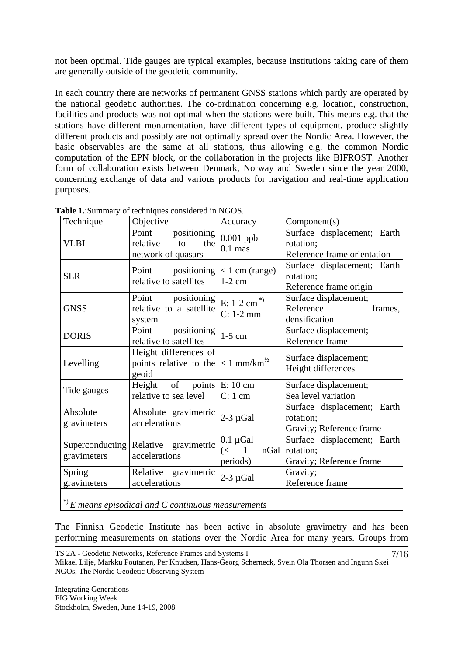not been optimal. Tide gauges are typical examples, because institutions taking care of them are generally outside of the geodetic community.

In each country there are networks of permanent GNSS stations which partly are operated by the national geodetic authorities. The co-ordination concerning e.g. location, construction, facilities and products was not optimal when the stations were built. This means e.g. that the stations have different monumentation, have different types of equipment, produce slightly different products and possibly are not optimally spread over the Nordic Area. However, the basic observables are the same at all stations, thus allowing e.g. the common Nordic computation of the EPN block, or the collaboration in the projects like BIFROST. Another form of collaboration exists between Denmark, Norway and Sweden since the year 2000, concerning exchange of data and various products for navigation and real-time application purposes.

| Technique               | Objective                                                                            | Accuracy                                                | Component(s)                                                              |
|-------------------------|--------------------------------------------------------------------------------------|---------------------------------------------------------|---------------------------------------------------------------------------|
| <b>VLBI</b>             | positioning<br>Point<br>relative<br>the<br>to<br>network of quasars                  | $0.001$ ppb<br>$0.1$ mas                                | Surface displacement; Earth<br>rotation;<br>Reference frame orientation   |
| <b>SLR</b>              | Point<br>relative to satellites                                                      | positioning $ $ < 1 cm (range)<br>$1-2$ cm              | Surface displacement; Earth<br>rotation;<br>Reference frame origin        |
| <b>GNSS</b>             | Point positioning<br>relative to a satellite<br>system                               | E: $1-2$ cm <sup>*</sup><br>$C: 1-2$ mm                 | Surface displacement;<br>Reference<br>frames,<br>densification            |
| <b>DORIS</b>            | Point<br>positioning<br>relative to satellites                                       | $1-5$ cm                                                | Surface displacement;<br>Reference frame                                  |
| Levelling               | Height differences of<br>points relative to the $ < 1$ mm/km <sup>1/2</sup><br>geoid |                                                         | Surface displacement;<br>Height differences                               |
| Tide gauges             | Height of points $\vert$ E: 10 cm<br>relative to sea level                           | $C: 1$ cm                                               | Surface displacement;<br>Sea level variation                              |
| Absolute<br>gravimeters | Absolute gravimetric<br>accelerations                                                | $2-3 \mu Gal$                                           | Surface displacement; Earth<br>rotation:<br>Gravity; Reference frame      |
| gravimeters             | Superconducting Relative gravimetric<br>accelerations                                | $0.1 \mu$ Gal<br>$\left( < \quad 1 \right)$<br>periods) | Surface displacement; Earth<br>nGal rotation;<br>Gravity; Reference frame |
| Spring<br>gravimeters   | Relative gravimetric<br>accelerations                                                | $2-3 \mu Gal$                                           | Gravity;<br>Reference frame                                               |
|                         | $\overline{P}$ ) E means episodical and C continuous measurements                    |                                                         |                                                                           |

**Table 1.**:Summary of techniques considered in NGOS.

The Finnish Geodetic Institute has been active in absolute gravimetry and has been performing measurements on stations over the Nordic Area for many years. Groups from

7/16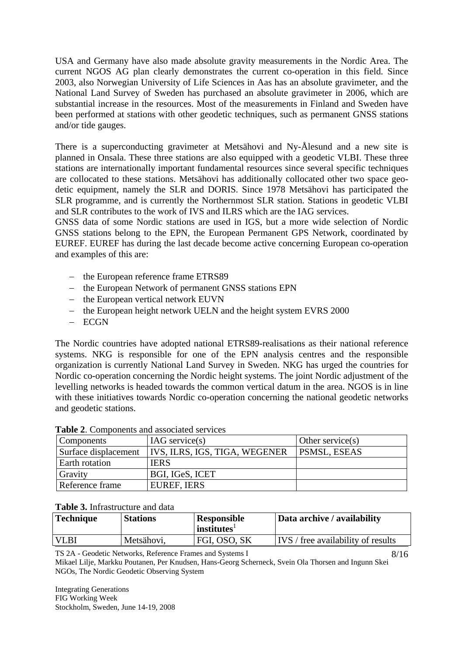USA and Germany have also made absolute gravity measurements in the Nordic Area. The current NGOS AG plan clearly demonstrates the current co-operation in this field. Since 2003, also Norwegian University of Life Sciences in Aas has an absolute gravimeter, and the National Land Survey of Sweden has purchased an absolute gravimeter in 2006, which are substantial increase in the resources. Most of the measurements in Finland and Sweden have been performed at stations with other geodetic techniques, such as permanent GNSS stations and/or tide gauges.

There is a superconducting gravimeter at Metsähovi and Ny-Ålesund and a new site is planned in Onsala. These three stations are also equipped with a geodetic VLBI. These three stations are internationally important fundamental resources since several specific techniques are collocated to these stations. Metsähovi has additionally collocated other two space geodetic equipment, namely the SLR and DORIS. Since 1978 Metsähovi has participated the SLR programme, and is currently the Northernmost SLR station. Stations in geodetic VLBI and SLR contributes to the work of IVS and ILRS which are the IAG services.

GNSS data of some Nordic stations are used in IGS, but a more wide selection of Nordic GNSS stations belong to the EPN, the European Permanent GPS Network, coordinated by EUREF. EUREF has during the last decade become active concerning European co-operation and examples of this are:

- − the European reference frame ETRS89
- − the European Network of permanent GNSS stations EPN
- − the European vertical network EUVN
- − the European height network UELN and the height system EVRS 2000
- − ECGN

The Nordic countries have adopted national ETRS89-realisations as their national reference systems. NKG is responsible for one of the EPN analysis centres and the responsible organization is currently National Land Survey in Sweden. NKG has urged the countries for Nordic co-operation concerning the Nordic height systems. The joint Nordic adjustment of the levelling networks is headed towards the common vertical datum in the area. NGOS is in line with these initiatives towards Nordic co-operation concerning the national geodetic networks and geodetic stations.

| Components           | $IAG$ service(s)              | Other service $(s)$ |
|----------------------|-------------------------------|---------------------|
| Surface displacement | IVS, ILRS, IGS, TIGA, WEGENER | <b>PSMSL, ESEAS</b> |
| Earth rotation       | IERS                          |                     |
| Gravity              | BGI, IGeS, ICET               |                     |
| Reference frame      | <b>EUREF, IERS</b>            |                     |

#### **Table 2**. Components and associated services

#### **Table 3.** Infrastructure and data

| <b>Technique</b> | <b>Stations</b> | <b>Responsible</b><br>$\mid$ institutes <sup><math>\mid</math></sup> | Data archive / availability        |
|------------------|-----------------|----------------------------------------------------------------------|------------------------------------|
| <b>VLBI</b>      | Metsähovi,      | FGI, OSO, SK                                                         | IVS / free availability of results |
|                  |                 |                                                                      |                                    |

TS 2A - Geodetic Networks, Reference Frames and Systems I

Mikael Lilje, Markku Poutanen, Per Knudsen, Hans-Georg Scherneck, Svein Ola Thorsen and Ingunn Skei NGOs, The Nordic Geodetic Observing System

Integrating Generations FIG Working Week Stockholm, Sweden, June 14-19, 2008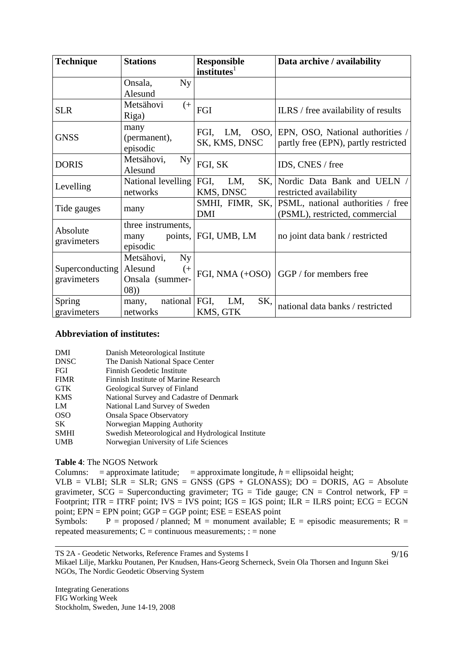| <b>Technique</b>                      | <b>Stations</b>                                                           | <b>Responsible</b><br>institutes <sup>1</sup> | Data archive / availability                                              |
|---------------------------------------|---------------------------------------------------------------------------|-----------------------------------------------|--------------------------------------------------------------------------|
|                                       | Ny<br>Onsala,<br>Alesund                                                  |                                               |                                                                          |
| <b>SLR</b>                            | Metsähovi<br>$^{(+)}$<br>Riga)                                            | FGI                                           | ILRS / free availability of results                                      |
| <b>GNSS</b>                           | many<br>(permanent),<br>episodic                                          | OSO,<br>FGI,<br>LM,<br>SK, KMS, DNSC          | EPN, OSO, National authorities /<br>partly free (EPN), partly restricted |
| <b>DORIS</b>                          | Metsähovi,<br><b>Ny</b><br>Alesund                                        | FGI, SK                                       | IDS, CNES / free                                                         |
| Levelling                             | National levelling FGI,<br>networks                                       | LM,<br>SK,<br>KMS, DNSC                       | Nordic Data Bank and UELN /<br>restricted availability                   |
| Tide gauges                           | many                                                                      | SMHI, FIMR, SK,<br><b>DMI</b>                 | PSML, national authorities / free<br>(PSML), restricted, commercial      |
| Absolute<br>gravimeters               | three instruments,<br>many<br>episodic                                    | points, FGI, UMB, LM                          | no joint data bank / restricted                                          |
| <b>Superconducting</b><br>gravimeters | Metsähovi,<br><b>Ny</b><br>Alesund<br>$^{(+)}$<br>Onsala (summer-<br>(08) |                                               | FGI, NMA (+OSO)   GGP / for members free                                 |
| Spring<br>gravimeters                 | national FGI,<br>many,<br>networks                                        | SK,<br>LM,<br>KMS, GTK                        | national data banks / restricted                                         |

#### **Abbreviation of institutes:**

| DMI            | Danish Meteorological Institute                   |
|----------------|---------------------------------------------------|
| <b>DNSC</b>    | The Danish National Space Center                  |
| FGI            | Finnish Geodetic Institute                        |
| <b>FIMR</b>    | Finnish Institute of Marine Research              |
| <b>GTK</b>     | Geological Survey of Finland                      |
| <b>KMS</b>     | National Survey and Cadastre of Denmark           |
| LM             | National Land Survey of Sweden                    |
| <sub>OSO</sub> | <b>Onsala Space Observatory</b>                   |
| SK.            | Norwegian Mapping Authority                       |
| <b>SMHI</b>    | Swedish Meteorological and Hydrological Institute |
| <b>UMB</b>     | Norwegian University of Life Sciences             |

**Table 4**: The NGOS Network

Columns:  $=$  approximate latitude;  $=$  approximate longitude,  $h =$  ellipsoidal height;

VLB = VLBI;  $SLR = SLR$ ; GNS = GNSS (GPS + GLONASS);  $DQ = DORIS$ ,  $AG = Absolute$ gravimeter,  $SCG = Superconducting gravimeter$ ;  $TG = Tide gauge$ ;  $CN = Control$  network,  $FP =$ Footprint;  $ITR = ITRF$  point;  $IVS = IVS$  point;  $IGS = IGS$  point;  $ILR = ILRS$  point;  $ECG = ECGN$ point; EPN = EPN point; GGP = GGP point; ESE = ESEAS point

Symbols: P = proposed / planned; M = monument available; E = episodic measurements; R = repeated measurements;  $C =$  continuous measurements;  $\cdot =$  none

TS 2A - Geodetic Networks, Reference Frames and Systems I Mikael Lilje, Markku Poutanen, Per Knudsen, Hans-Georg Scherneck, Svein Ola Thorsen and Ingunn Skei NGOs, The Nordic Geodetic Observing System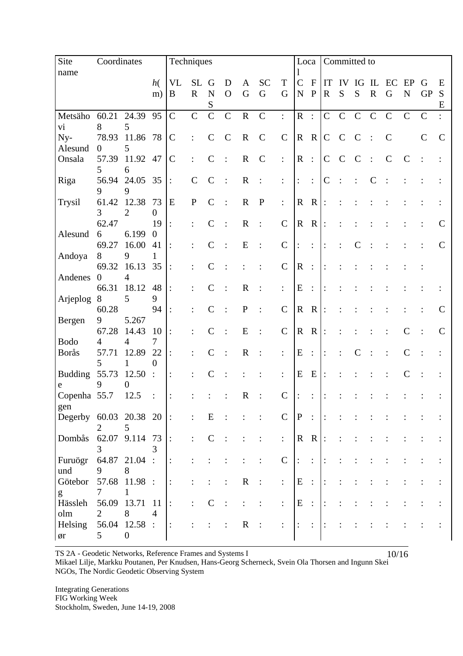| Site                              |                           | Coordinates<br>Techniques |                                 |                |               |                          |              |             |               |                      |                | Loca<br>Committed to      |                |              |             |             |               |                |               |              |
|-----------------------------------|---------------------------|---------------------------|---------------------------------|----------------|---------------|--------------------------|--------------|-------------|---------------|----------------------|----------------|---------------------------|----------------|--------------|-------------|-------------|---------------|----------------|---------------|--------------|
| name                              |                           |                           | h(                              | <b>VL</b>      | <b>SL</b>     | G                        | D            | A           | <b>SC</b>     | $\mathbf T$          | $\mathbf C$    | $\boldsymbol{\mathrm{F}}$ | IT             | IV           | IG          | IL          | EC            | EP             | G             | E            |
|                                   |                           |                           | m)                              | $\bf{B}$       | $\mathbf R$   | $\mathbf N$<br>${\bf S}$ | $\mathbf{O}$ | G           | $\mathbf G$   | $\mathbf G$          | $\mathbf N$    | ${\bf P}$                 | $\mathbf R$    | S            | S           | $\mathbf R$ | G             | ${\bf N}$      | <b>GP</b>     | S<br>E       |
| Metsäho                           | 60.21                     | 24.39                     | 95                              | $\overline{C}$ | $\mathsf{C}$  | $\mathsf{C}$             | $\mathbf C$  | ${\bf R}$   | $\mathbf C$   | $\ddot{\cdot}$       | $\overline{R}$ | $\ddot{\cdot}$            | $\overline{C}$ | $\mathbf C$  | $\mathbf C$ | $\mathbf C$ | $\mathcal{C}$ | $\mathbf C$    | $\mathbf C$   |              |
| vi                                | 8                         | 5                         |                                 |                |               |                          |              |             |               |                      |                |                           |                |              |             |             |               |                |               |              |
| Ny-                               | 78.93                     | 11.86                     | 78                              | $\mathcal{C}$  |               | $\mathcal{C}$            | $\mathbf C$  | $\mathbf R$ | $\mathbf C$   | $\mathbf C$          | $\mathbf R$    | $\mathbf R$               | $\mathbf C$    | $\mathsf{C}$ | $\mathbf C$ |             | $\mathbf C$   |                | $\mathcal{C}$ | $\mathbf C$  |
| Alesund<br>Onsala                 | $\boldsymbol{0}$<br>57.39 | 5<br>11.92                | 47                              | $\mathbf C$    |               | $\mathcal{C}$            |              | $\mathbf R$ | $\mathcal{C}$ | $\ddot{\cdot}$       | $\mathbf R$    | $\cdot$ :                 | $\mathcal{C}$  | $\mathsf{C}$ | C           |             |               | $\mathcal{C}$  |               |              |
|                                   | 5                         | 6                         |                                 |                |               |                          |              |             |               |                      |                |                           |                |              |             |             |               |                |               |              |
| Riga                              | 56.94                     | 24.05                     | 35                              |                | $\mathcal{C}$ | $\mathcal{C}$            |              | $\mathbf R$ |               | $\ddot{\cdot}$       | $\ddot{\cdot}$ | $\ddot{\cdot}$            | $\mathsf{C}$   |              |             |             |               |                |               |              |
| Trysil                            | 9<br>61.42                | 9<br>12.38                | 73                              | ${\bf E}$      | ${\bf P}$     | $\mathcal{C}$            |              | $\mathbf R$ | $\mathbf P$   | $\ddot{\cdot}$       | $\mathbf R$    | $\mathbf R$               |                |              |             |             |               |                |               |              |
|                                   | 3                         | $\overline{2}$            | $\mathbf{0}$                    |                |               |                          |              |             |               |                      |                |                           |                |              |             |             |               |                |               |              |
|                                   | 62.47                     |                           | 19                              |                |               | $\mathcal{C}$            |              | $\mathbf R$ |               | $\mathbf C$          | $\mathbf R$    | $\mathbf R$               | $\colon$       |              |             |             |               |                |               | C            |
| Alesund                           | 6                         | 6.199                     | $\overline{0}$                  |                |               |                          |              |             |               |                      |                |                           |                |              |             |             |               |                |               |              |
| Andoya                            | 69.27<br>8                | 16.00<br>9                | 41<br>1                         | $\ddot{\cdot}$ |               | $\mathcal{C}$            |              | E           |               | $\mathsf{C}$         |                | $\ddot{\cdot}$            |                |              |             |             |               |                |               | $\mathsf{C}$ |
|                                   | 69.32                     | 16.13                     | 35                              |                |               | $\overline{C}$           |              |             |               | $\mathsf{C}$         | $\mathbf R$    | $\sim$                    |                |              |             |             |               |                |               |              |
| Andenes                           | $\overline{0}$            | $\overline{4}$            |                                 |                |               |                          |              |             |               |                      |                |                           |                |              |             |             |               |                |               |              |
|                                   | 66.31                     | 18.12                     | 48                              |                |               | $\mathcal{C}$            |              | $\mathbf R$ |               | $\ddot{\phantom{a}}$ | ${\bf E}$      | $\ddot{\cdot}$            |                |              |             |             |               |                |               |              |
| Arjeplog                          | 8<br>60.28                | 5                         | 9<br>94                         |                |               | $\mathcal{C}$            |              | ${\bf P}$   |               | $\mathsf{C}$         | $\mathbf R$    | $\mathbf R$               |                |              |             |             |               |                |               |              |
| Bergen                            | 9                         | 5.267                     |                                 |                |               |                          |              |             |               |                      |                |                           |                |              |             |             |               |                |               |              |
|                                   | 67.28                     | 14.43                     | 10                              |                |               | $\mathcal{C}$            |              | E           |               | $\mathsf{C}$         | $\mathbf R$    | $\mathbf R$               | $\ddot{\cdot}$ |              |             |             |               | $\overline{C}$ |               |              |
| <b>Bodo</b>                       | 4                         | $\overline{4}$            | $\overline{7}$                  |                |               |                          |              |             |               |                      |                |                           |                |              |             |             |               |                |               |              |
| <b>Borås</b>                      | 57.71<br>5                | 12.89<br>1                | 22<br>$\theta$                  |                |               | $\mathcal{C}$            |              | $\mathbf R$ |               | $\vdots$             | ${\bf E}$      | $\ddot{\cdot}$            |                |              |             |             |               | $\overline{C}$ |               |              |
| <b>Budding</b>                    | 55.73                     | 12.50                     | $\div$                          | $\ddot{\cdot}$ |               | $\mathcal{C}$            |              |             |               | $\ddot{\cdot}$       | ${\bf E}$      | E                         | $\ddot{\cdot}$ |              |             |             |               | $\mathcal{C}$  |               |              |
|                                   | 9                         | $\theta$                  |                                 |                |               |                          |              |             |               |                      |                |                           |                |              |             |             |               |                |               |              |
| Copenha 55.7                      |                           | 12.5                      | $\ddot{\cdot}$                  |                |               |                          |              | $\mathbf R$ |               | $\mathcal{C}$        |                |                           |                |              |             |             |               |                |               |              |
| gen<br>Degerby $60.03$ 20.38 20 : |                           |                           |                                 |                |               | ${\bf E}$                |              |             |               | $\mathbf C$          | $\mathbf{P}$   | $\ddot{\phantom{a}}$      | $\colon$       |              |             |             |               |                |               |              |
|                                   | 2                         | 5                         |                                 |                |               |                          |              |             |               |                      |                |                           |                |              |             |             |               |                |               |              |
| Dombås                            | 3                         | 62.07 9.114 73            | 3                               | $\ddot{\cdot}$ |               | $\mathbf C$              |              |             |               | $\ddot{\cdot}$       |                | $R R$ :                   |                |              |             |             |               |                |               |              |
| Furuögr                           | 64.87                     | $21.04$ :                 |                                 | $\vdots$       |               |                          |              |             |               | $\mathbf C$          | $\colon$       | $\ddot{\cdot}$            |                |              |             |             |               |                |               |              |
| und                               | 9                         | 8                         |                                 |                |               |                          |              |             |               |                      |                |                           |                |              |             |             |               |                |               |              |
| Götebor                           |                           | 57.68 11.98 :             |                                 | $\ddot{\cdot}$ |               |                          |              | $\mathbf R$ |               | $\ddot{\cdot}$       | E              | $\mathbb{C}$              |                |              |             |             |               |                |               |              |
| g                                 | $\tau$                    | 1                         |                                 |                |               |                          |              |             |               |                      |                |                           |                |              |             |             |               |                |               |              |
| Hässleh<br>olm                    | 56.09<br>$\overline{2}$   | 13.71<br>8                | <sup>11</sup><br>$\overline{4}$ |                |               | $\mathcal{C}$            |              |             |               | $\ddot{\cdot}$       | ${\bf E}$      | $\mathbb{R}^2$            |                |              |             |             |               |                |               |              |
| Helsing                           |                           | 56.04 12.58               | $\therefore$                    | $\ddot{\cdot}$ |               |                          | :            | $\mathbf R$ |               | $\vdots$             | :              | $\ddot{\cdot}$            |                |              |             |             |               |                |               |              |
| ør                                | $5\overline{)}$           | $\overline{0}$            |                                 |                |               |                          |              |             |               |                      |                |                           |                |              |             |             |               |                |               |              |

TS 2A - Geodetic Networks, Reference Frames and Systems I

10/16

Mikael Lilje, Markku Poutanen, Per Knudsen, Hans-Georg Scherneck, Svein Ola Thorsen and Ingunn Skei NGOs, The Nordic Geodetic Observing System

Integrating Generations FIG Working Week Stockholm, Sweden, June 14-19, 2008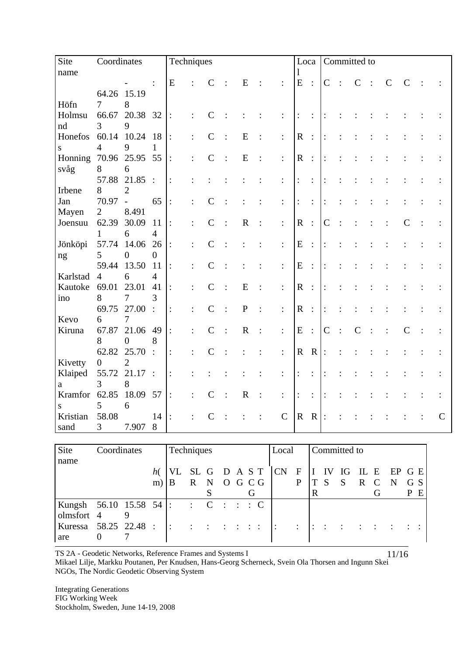| Site     | Coordinates    |                  |                         | Techniques      | Loca<br>Committed to |                |              |                |                       |                |                |           |              |         |               |               |  |              |
|----------|----------------|------------------|-------------------------|-----------------|----------------------|----------------|--------------|----------------|-----------------------|----------------|----------------|-----------|--------------|---------|---------------|---------------|--|--------------|
| name     |                |                  |                         |                 |                      |                |              |                |                       |                |                |           |              |         |               |               |  |              |
|          |                |                  | $\ddot{\cdot}$          | E               |                      | $\mathbf C$    | E            |                | ${\bf E}$             | $\ddot{\cdot}$ | $\mathbf C$    | $\cdot$ : | $\mathsf{C}$ | $\cdot$ | $\mathcal{C}$ | $\mathcal{C}$ |  |              |
|          |                | 64.26 15.19      |                         |                 |                      |                |              |                |                       |                |                |           |              |         |               |               |  |              |
| Höfn     | $\tau$         | 8                |                         |                 |                      |                |              |                |                       |                |                |           |              |         |               |               |  |              |
| Holmsu   | 66.67          | 20.38 32         |                         | $\ddot{\cdot}$  |                      | $\mathcal{C}$  |              |                | $\colon$              | $\ddot{\cdot}$ |                |           |              |         |               |               |  |              |
| nd       | 3              | 9                |                         |                 |                      |                |              |                |                       |                |                |           |              |         |               |               |  |              |
| Honefos  | 60.14          | 10.24            | 18                      | $\ddot{\cdot}$  |                      | $\overline{C}$ | E            | $\ddot{\cdot}$ | $\mathbf R$           | $\ddot{\cdot}$ |                |           |              |         |               |               |  |              |
| S        | $\overline{4}$ | 9                | $\mathbf{1}$            |                 |                      |                |              |                |                       |                |                |           |              |         |               |               |  |              |
| Honning  | 70.96          | 25.95            | 55                      | $\ddot{\cdot}$  |                      | $\mathsf{C}$   | E            | $\ddot{\cdot}$ | $\mathbf R$           | $\ddot{\cdot}$ | $\ddot{\cdot}$ |           |              |         |               |               |  |              |
| svåg     | 8              | 6                |                         |                 |                      |                |              |                |                       |                |                |           |              |         |               |               |  |              |
|          | 57.88          | 21.85            | $\dddot{\phantom{1}}$ : | $\ddot{\cdot}$  |                      |                |              | $\ddot{\cdot}$ | $\vdots$              | $\ddot{\cdot}$ |                |           |              |         |               |               |  |              |
| Irbene   | 8              | $\overline{2}$   |                         |                 |                      |                |              |                |                       |                |                |           |              |         |               |               |  |              |
| Jan      | 70.97          | $\frac{1}{2}$    | 65                      | $\ddot{\cdot}$  |                      | $\mathsf{C}$   |              | $\ddot{\cdot}$ | :                     | $\ddot{\cdot}$ |                |           |              |         |               |               |  |              |
| Mayen    | $\overline{2}$ | 8.491            |                         |                 |                      |                |              |                |                       |                |                |           |              |         |               |               |  |              |
| Joensuu  | 62.39          | 30.09            | 11                      | $\vdots$        | $\ddot{\cdot}$       | $\mathcal{C}$  | $\mathbf R$  | $\vdots$       | $\mathbf R$           | $\ddot{\cdot}$ | $\mathcal{C}$  |           |              |         |               | $\mathcal{C}$ |  |              |
|          | $\mathbf{1}$   | 6                | $\overline{4}$          |                 |                      |                |              |                |                       |                |                |           |              |         |               |               |  |              |
| Jönköpi  | 57.74          | 14.06            | 26                      | $\div$          | $\ddot{\cdot}$       | $\mathcal{C}$  |              | $\ddot{\cdot}$ | E                     | $\ddot{\cdot}$ | $\ddot{\cdot}$ |           |              |         |               |               |  |              |
| ng       | 5              | $\overline{0}$   | $\overline{0}$          |                 |                      |                |              |                |                       |                |                |           |              |         |               |               |  |              |
|          | 59.44          | 13.50            | 11                      | $\dddot{\cdot}$ |                      | $\overline{C}$ |              | $\ddot{\cdot}$ | E                     | $\ddot{\cdot}$ |                |           |              |         |               |               |  |              |
| Karlstad | $\overline{4}$ | 6                | $\overline{4}$          |                 |                      |                |              |                |                       |                |                |           |              |         |               |               |  |              |
| Kautoke  | 69.01          | 23.01            | 41                      | $\ddot{\cdot}$  |                      | $\mathcal{C}$  | E            | $\ddot{\cdot}$ | $\overline{\text{R}}$ | $\ddot{\cdot}$ |                |           |              |         |               |               |  |              |
| ino      | 8              | $\boldsymbol{7}$ | 3                       |                 |                      |                |              |                |                       |                |                |           |              |         |               |               |  |              |
|          | 69.75          | 27.00            | $\ddot{\cdot}$          | $\vdots$        |                      | $\mathcal{C}$  | $\mathbf{P}$ | $\ddot{\cdot}$ | $\mathbf R$           | $\ddot{\cdot}$ |                |           |              |         |               |               |  |              |
| Kevo     | 6              | 7                |                         |                 |                      |                |              |                |                       |                |                |           |              |         |               |               |  |              |
| Kiruna   | 67.87          | 21.06            | 49                      | $\ddot{\cdot}$  |                      | $\mathcal{C}$  | $\mathbf R$  | $\ddot{\cdot}$ | E                     | $\ddot{\cdot}$ | $\mathcal{C}$  |           |              |         |               | $\mathcal{C}$ |  |              |
|          | 8              | $\overline{0}$   | 8                       |                 |                      |                |              |                |                       |                |                |           |              |         |               |               |  |              |
|          | 62.82          | 25.70            | $\cdot$ :               | $\ddot{\cdot}$  |                      | $\overline{C}$ |              | $\vdots$       | $\mathbf R$           | $\mathbf R$    | $\vdots$       |           |              |         |               |               |  |              |
| Kivetty  | $\overline{0}$ | $\overline{2}$   |                         |                 |                      |                |              |                |                       |                |                |           |              |         |               |               |  |              |
| Klaiped  | 55.72          | 21.17:           |                         | $\ddot{\cdot}$  |                      |                |              | $\ddot{\cdot}$ | $\ddot{\cdot}$        | $\ddot{\cdot}$ |                |           |              |         |               |               |  |              |
| a        | 3              | 8                |                         |                 |                      |                |              |                |                       |                |                |           |              |         |               |               |  |              |
| Kramfor  | 62.85          | 18.09            | 57                      | $\vdots$        | $\ddot{\cdot}$       | $\mathsf{C}$   | $\mathbf R$  | $\ddot{\cdot}$ | $\ddot{\cdot}$        | $\ddot{\cdot}$ |                |           |              |         |               |               |  |              |
| S        | 5              | 6                |                         |                 |                      |                |              |                |                       |                |                |           |              |         |               |               |  |              |
| Kristian | 58.08          |                  | 14                      | $\ddot{\cdot}$  | $\ddot{\cdot}$       | $\mathcal{C}$  |              | $\mathsf{C}$   | ${\bf R}$             | $\mathbf R$    | $\mathbf{E}$   |           |              |         |               |               |  | $\mathsf{C}$ |
| sand     | 3              | 7.907            | 8                       |                 |                      |                |              |                |                       |                |                |           |              |         |               |               |  |              |
|          |                |                  |                         |                 |                      |                |              |                |                       |                |                |           |              |         |               |               |  |              |

| Site                    | Coordinates |  | Techniques |     | Local |  |                                                                               | Committed to |  |                |   |  |                                                                                                                  |     |  |             |     |  |
|-------------------------|-------------|--|------------|-----|-------|--|-------------------------------------------------------------------------------|--------------|--|----------------|---|--|------------------------------------------------------------------------------------------------------------------|-----|--|-------------|-----|--|
| name                    |             |  |            |     |       |  |                                                                               |              |  |                |   |  |                                                                                                                  |     |  |             |     |  |
|                         |             |  | h(         |     |       |  | VL SL G D A S T   CN F   I IV IG                                              |              |  |                |   |  |                                                                                                                  |     |  | IL E EP G E |     |  |
|                         |             |  | m)         | B   |       |  | R N O G C G                                                                   |              |  | $\mathbf{P}$   |   |  | S                                                                                                                | R C |  | $\mathbf N$ | G S |  |
|                         |             |  |            |     |       |  |                                                                               |              |  |                | R |  |                                                                                                                  |     |  |             | P E |  |
| Kungsh 56.10 15.58 54 : |             |  |            |     |       |  | $\therefore$ C $\therefore$ C $\therefore$                                    |              |  |                |   |  |                                                                                                                  |     |  |             |     |  |
| olmsfort 4              |             |  |            |     |       |  |                                                                               |              |  |                |   |  |                                                                                                                  |     |  |             |     |  |
| Kuressa 58.25 22.48 :   |             |  |            | l : |       |  | $\begin{array}{cccccccccccccc} 1 & 1 & 1 & 1 & 1 & 1 & 1 & 1 & 1 \end{array}$ | $\Box$       |  | $\ddot{\cdot}$ |   |  | $\  \cdot \  \cdot \  \cdot \  \cdot \  \cdot \  \cdot \  \cdot \  \cdot \  \cdot \  \cdot \  \cdot \  \cdot \ $ |     |  |             |     |  |
| are                     |             |  |            |     |       |  |                                                                               |              |  |                |   |  |                                                                                                                  |     |  |             |     |  |

Mikael Lilje, Markku Poutanen, Per Knudsen, Hans-Georg Scherneck, Svein Ola Thorsen and Ingunn Skei<br>NGOs, The Nordic Geodetic Observing Svstem NGOs, The Nordic Geodetic Observing System

**Integrating Generations** FIG Working Week Stockholm, Sweden, June 14-19, 2008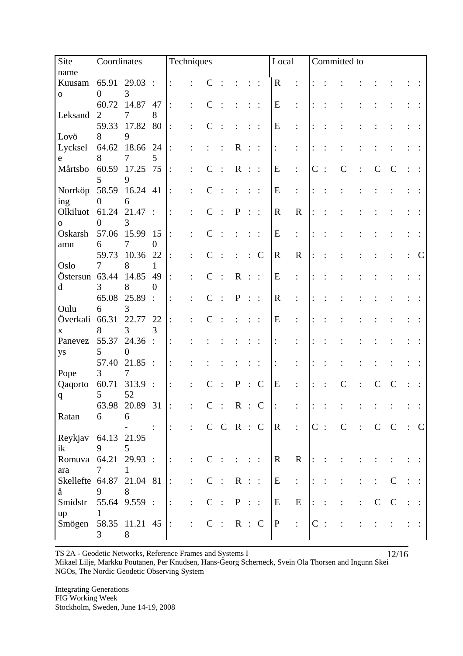| Site                     | Coordinates    |                    |                        | Techniques     |                |               |                         |              |                |                        | Local<br>Committed to |                                      |               |                |             |                |               |              |  |             |
|--------------------------|----------------|--------------------|------------------------|----------------|----------------|---------------|-------------------------|--------------|----------------|------------------------|-----------------------|--------------------------------------|---------------|----------------|-------------|----------------|---------------|--------------|--|-------------|
| name                     |                |                    |                        |                |                |               |                         |              |                |                        |                       |                                      |               |                |             |                |               |              |  |             |
| Kuusam                   | 65.91          | 29.03              | $\ddots$               | $\ddot{\cdot}$ |                |               |                         |              |                | $\ddot{\phantom{1}}$ : | $\mathbf R$           | $\ddot{\cdot}$                       |               |                |             |                |               |              |  |             |
| ${\bf O}$                | $\overline{0}$ | 3                  |                        |                |                |               |                         |              |                |                        |                       |                                      |               |                |             |                |               |              |  |             |
|                          | 60.72          | 14.87              | 47                     | $\colon$       |                |               |                         |              |                |                        | E                     | :                                    |               |                |             |                |               |              |  |             |
| Leksand                  | 2              | 7                  | 8                      |                |                |               |                         |              |                |                        |                       |                                      |               |                |             |                |               |              |  |             |
|                          | 59.33          | 17.82              | 80                     |                |                |               |                         |              |                |                        | ${\bf E}$             | $\ddot{\cdot}$                       |               |                |             |                |               |              |  |             |
| Lovö                     | 8              | 9                  |                        |                |                |               |                         |              |                |                        |                       |                                      |               |                |             |                |               |              |  |             |
| Lycksel                  | 64.62          | 18.66              | 24                     | $\ddot{\cdot}$ |                |               |                         | $\mathbf R$  |                | $\ddots$               | $\ddot{\cdot}$        | $\ddot{\cdot}$                       |               |                |             |                |               |              |  |             |
| e                        | 8              | 7                  | 5                      |                |                |               |                         |              |                |                        |                       |                                      |               |                |             |                |               |              |  |             |
| Mårtsbo                  | 60.59          | 17.25              | 75                     | $\ddot{\cdot}$ |                | $\mathcal{C}$ |                         | $\mathbf R$  | $\mathbb{R}^+$ |                        | ${\bf E}$             | $\ddot{\cdot}$                       | $\mathcal{C}$ | $\ddot{\cdot}$ | $\mathbf C$ |                | $\mathcal{C}$ | C            |  |             |
|                          | 5              | 9                  |                        |                |                |               |                         |              |                |                        |                       |                                      |               |                |             |                |               |              |  |             |
| Norrköp                  | 58.59          | 16.24 41           |                        | $\ddot{\cdot}$ |                |               |                         |              |                |                        | E                     | $\ddot{\cdot}$                       |               |                |             |                |               |              |  |             |
| ing                      | $\mathbf{0}$   | 6                  |                        |                |                |               |                         |              |                |                        |                       |                                      |               |                |             |                |               |              |  |             |
| Olkiluot                 | 61.24          | 21.47              | $\ddot{\phantom{1}}$ : | $\ddot{\cdot}$ |                | $\mathsf{C}$  |                         | ${\bf P}$    | $\vdots$ :     |                        | $\mathbf R$           | $\mathbf R$                          |               |                |             |                |               |              |  |             |
| $\mathbf{O}$             | $\theta$       | 3                  |                        |                |                |               |                         |              |                |                        |                       |                                      |               |                |             |                |               |              |  |             |
| Oskarsh                  | 57.06          | 15.99              | 15                     | $\colon$       | $\ddot{\cdot}$ |               |                         |              |                | $\ddot{\phantom{1}}$ : | ${\bf E}$             | $\ddot{\cdot}$                       |               |                |             |                |               |              |  |             |
| amn                      | 6              | 7                  | $\overline{0}$         |                |                |               |                         |              |                |                        |                       |                                      |               |                |             |                |               |              |  |             |
|                          | 59.73          | 10.36              | 22                     |                |                |               |                         |              |                | $\mathbf C$            | $\mathbf R$           | $\mathbf R$                          |               |                |             |                |               |              |  |             |
| Oslo                     | 7              | 8                  | 1                      |                |                |               |                         |              |                |                        |                       |                                      |               |                |             |                |               |              |  |             |
| Östersun 63.44           |                | 14.85              | 49                     |                |                | $\mathsf{C}$  |                         | $\mathbf R$  | $\pm$ $\pm$    |                        | ${\bf E}$             | $\ddot{\cdot}$                       |               |                |             |                |               |              |  |             |
| $\mathbf d$              | 3              | 8                  | $\Omega$               |                |                |               |                         |              |                |                        |                       |                                      |               |                |             |                |               |              |  |             |
|                          | 65.08          | 25.89              | $\cdot$ :              | $\ddot{\cdot}$ |                |               |                         | $\mathbf P$  |                | $\vdots$ :             | $\mathbf R$           | $\vdots$                             |               |                |             |                |               |              |  |             |
| Oulu                     | 6              | 3                  |                        |                |                |               |                         |              |                |                        |                       |                                      |               |                |             |                |               |              |  |             |
| Överkali                 | 66.31          | 22.77              | 22                     |                |                |               |                         |              |                |                        | E                     | $\ddot{\cdot}$                       |               |                |             |                |               |              |  |             |
| $\mathbf X$              | 8              | $\overline{3}$     | 3                      |                |                |               |                         |              |                |                        |                       |                                      |               |                |             |                |               |              |  |             |
| Panevez                  | 55.37          | 24.36              | $\cdot$ :              | $\ddot{\cdot}$ |                |               |                         |              |                |                        |                       |                                      |               |                |             |                |               |              |  |             |
| ys                       | 5              | $\boldsymbol{0}$   |                        |                |                |               |                         |              |                |                        |                       |                                      |               |                |             |                |               |              |  |             |
|                          | 57.40          | 21.85              | $\ddots$               | $\ddot{\cdot}$ |                |               |                         |              |                |                        | :                     |                                      |               |                |             |                |               |              |  |             |
| Pope                     | 3              | 7                  |                        |                |                |               |                         |              |                |                        |                       |                                      |               |                |             |                |               |              |  |             |
| Qaqorto                  | 60.71          | 313.9              | $\ddot{\phantom{1}}$ : |                |                |               |                         | $\mathbf{P}$ |                | $\mathcal{C}$          | E                     | $\ddot{\cdot}$                       |               |                |             |                |               |              |  |             |
| $\mathbf q$              | 5              | 52                 |                        |                |                |               |                         |              |                |                        |                       |                                      |               |                |             |                |               |              |  |             |
|                          |                | 63.98 20.89 31     |                        | $\mathbf{E}$   | $\vdots$       | $\mathbf C$   | : R : C                 |              |                |                        |                       |                                      | $\vdots$      |                |             |                |               |              |  |             |
| Ratan                    | 6              | 6                  |                        |                |                |               |                         |              |                |                        |                       |                                      |               |                |             |                |               |              |  |             |
|                          |                |                    |                        | $\vdots$       | $\ddot{\cdot}$ |               | C C R : C               |              |                |                        | $\overline{R}$        | $\ddot{\phantom{a}}$                 | $C$ :         |                | $\mathbf C$ | $\ddot{\cdot}$ | $C$ $C$       |              |  | $\mathbf C$ |
| Reykjav                  |                | 64.13 21.95        |                        |                |                |               |                         |              |                |                        |                       |                                      |               |                |             |                |               |              |  |             |
| ik                       | 9              | 5                  |                        |                |                |               |                         |              |                |                        |                       |                                      |               |                |             |                |               |              |  |             |
| Romuva 64.21 29.93 :     |                |                    |                        | $\ddot{\cdot}$ |                | $\mathsf{C}$  |                         |              |                |                        | $\mathbf{R}$          | $\mathbf R$                          | $\vdots$      |                |             |                |               |              |  |             |
| ara                      | 7              | 1                  |                        |                |                |               |                         |              |                |                        |                       |                                      |               |                |             |                |               |              |  |             |
| Skellefte 64.87 21.04 81 |                |                    |                        | $\ddot{\cdot}$ | $\ddot{\cdot}$ | $\mathcal{C}$ | $\ddot{\phantom{1}}$ :  | R : :        |                |                        | E                     | $\ddot{\ddot{\phantom{}}\phantom{}}$ |               |                |             |                |               | C            |  |             |
| $\mathring{\text{a}}$    | 9              | 8                  |                        |                |                |               |                         |              |                |                        |                       |                                      |               |                |             |                |               |              |  |             |
| Smidstr                  |                | 55.64 9.559 :      |                        | $\ddot{\cdot}$ |                | $\mathcal{C}$ | $\langle \cdot \rangle$ | P : :        |                |                        | E                     | E                                    |               |                |             |                | $\mathsf{C}$  | $\mathsf{C}$ |  |             |
| up                       | Ŧ              |                    |                        |                |                |               |                         |              |                |                        |                       |                                      |               |                |             |                |               |              |  |             |
| Smögen                   |                | $58.35$ 11.21 45 : |                        |                | $\ddot{\cdot}$ |               | C : R : C               |              |                |                        | $\mathbf{P}$          | $\ddot{\cdot}$                       | $C$ :         |                |             |                |               |              |  |             |
|                          | 3              | 8                  |                        |                |                |               |                         |              |                |                        |                       |                                      |               |                |             |                |               |              |  |             |
|                          |                |                    |                        |                |                |               |                         |              |                |                        |                       |                                      |               |                |             |                |               |              |  |             |

TS 2A - Geodetic Networks, Reference Frames and Systems I  $12/16$ Mikael Lilje, Markku Poutanen, Per Knudsen, Hans-Georg Scherneck, Svein Ola Thorsen and Ingunn Skei NGOs, The Nordic Geodetic Observing System

**Integrating Generations** FIG Working Week Stockholm, Sweden, June 14-19, 2008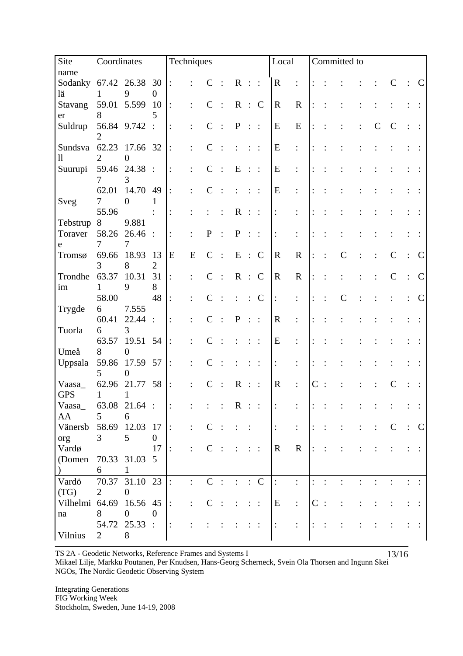| Site                                                       | Coordinates                                                           |                                                                                          |                      | Techniques                           |                                  |                             |         |             |                  |                |                                 | Local                      |             | Committed to  |  |               |               |
|------------------------------------------------------------|-----------------------------------------------------------------------|------------------------------------------------------------------------------------------|----------------------|--------------------------------------|----------------------------------|-----------------------------|---------|-------------|------------------|----------------|---------------------------------|----------------------------|-------------|---------------|--|---------------|---------------|
| name                                                       |                                                                       |                                                                                          |                      |                                      |                                  |                             |         |             |                  |                |                                 |                            |             |               |  |               |               |
| Sodanky<br>lä                                              | 1                                                                     | 67.42 26.38<br>9                                                                         | 30<br>$\overline{0}$ | $\ddot{\cdot}$                       |                                  | $\mathcal{C}$               | $\cdot$ | $\mathbf R$ | $\pm$ $\pm$      |                | $\mathbf R$                     | $\ddot{\cdot}$             |             |               |  |               | $\mathcal{C}$ |
| Stavang                                                    | 59.01                                                                 | 5.599                                                                                    | 10                   | $\vdots$                             |                                  | $\mathsf{C}$                |         | $\mathbf R$ |                  | $\therefore$ C | $\mathbf R$                     | $\mathbf R$                |             |               |  |               |               |
| er                                                         | 8                                                                     |                                                                                          | 5                    |                                      |                                  |                             |         |             |                  |                |                                 |                            |             |               |  |               |               |
| Suldrup                                                    |                                                                       | 56.84 9.742                                                                              | $\therefore$         | $\ddot{\cdot}$                       |                                  |                             |         | ${\bf P}$   | $\vdots$ :       |                | ${\bf E}$                       | ${\bf E}$                  |             |               |  |               |               |
|                                                            |                                                                       |                                                                                          |                      |                                      |                                  |                             |         |             |                  |                |                                 |                            |             |               |  |               |               |
| Sundsva                                                    | 62.23                                                                 | 17.66 32                                                                                 |                      | $\ddot{\cdot}$                       |                                  |                             |         |             |                  |                | E                               | $\ddot{\cdot}$             |             |               |  |               |               |
| 11                                                         | 2                                                                     | 0                                                                                        |                      |                                      |                                  |                             |         |             |                  |                |                                 |                            |             |               |  |               |               |
| Suurupi                                                    | 59.46                                                                 | 24.38                                                                                    | $\therefore$         | $\ddot{\cdot}$                       |                                  | $\mathsf{C}$                |         | E           | $\vdots$ :       |                | E                               | $\ddot{\cdot}$             |             |               |  |               |               |
|                                                            | 7                                                                     | 3                                                                                        |                      |                                      |                                  |                             |         |             |                  |                |                                 |                            |             |               |  |               |               |
|                                                            | 62.01                                                                 | 14.70                                                                                    | 49                   | $\ddot{\cdot}$                       |                                  |                             |         |             |                  |                | ${\bf E}$                       | $\ddot{\cdot}$             |             |               |  |               |               |
| Sveg                                                       | $\tau$<br>55.96                                                       | $\boldsymbol{0}$                                                                         | $\mathbf{1}$         |                                      |                                  |                             |         |             |                  |                |                                 |                            |             |               |  |               |               |
| Tebstrup                                                   | 8                                                                     | 9.881                                                                                    |                      | $\vdots$                             |                                  |                             |         | $\mathbf R$ | $\mathbb{R}^n$   |                | $\ddot{\cdot}$                  | $\ddot{\cdot}$             |             |               |  |               |               |
| Toraver                                                    | 58.26                                                                 | 26.46                                                                                    | $\ddot{\cdot}$       | $\colon$                             |                                  | $\mathbf P$                 |         | $\mathbf P$ |                  | $\ddots$       | $\vdots$                        | $\vdots$                   |             |               |  |               |               |
| e                                                          | 7                                                                     | 7                                                                                        |                      |                                      |                                  |                             |         |             |                  |                |                                 |                            |             |               |  |               |               |
| Tromsø                                                     | 69.66                                                                 | 18.93                                                                                    | 13                   | E                                    | E                                | $\mathsf{C}$                |         | E           | $\therefore$     | $\mathcal{C}$  | $\mathbf R$                     | $\mathbf R$                |             | $\mathcal C$  |  |               |               |
|                                                            | 3                                                                     | 8                                                                                        | $\overline{2}$       |                                      |                                  |                             |         |             |                  |                |                                 |                            |             |               |  |               |               |
| Trondhe                                                    | 63.37                                                                 | 10.31                                                                                    | 31                   | $\colon$                             |                                  | $\mathsf{C}$                |         |             |                  | R : C          | $\mathbf R$                     | $\mathbf R$                |             |               |  |               | $\mathbf C$   |
| im                                                         | 1                                                                     | 9                                                                                        | 8                    |                                      |                                  |                             |         |             |                  |                |                                 |                            |             |               |  |               |               |
|                                                            | 58.00                                                                 |                                                                                          | 48                   | $\ddot{\cdot}$                       |                                  |                             |         |             |                  | $\mathbf C$    | $\colon$                        | $\ddot{\cdot}$             |             | $\mathcal{C}$ |  |               | $\mathbf C$   |
| Trygde                                                     | 6                                                                     | 7.555                                                                                    |                      |                                      |                                  |                             |         |             |                  |                |                                 |                            |             |               |  |               |               |
|                                                            | 60.41                                                                 | 22.44                                                                                    | $\therefore$         | $\ddot{\cdot}$                       |                                  |                             |         | $\mathbf P$ | $\vdots$ :       |                | $\mathbf R$                     | $\ddot{\cdot}$             |             |               |  |               |               |
| Tuorla                                                     | 6                                                                     | 3                                                                                        |                      |                                      |                                  |                             |         |             |                  |                |                                 |                            |             |               |  |               |               |
|                                                            | 63.57                                                                 | 19.51                                                                                    | 54                   | $\ddot{\cdot}$                       |                                  |                             |         |             |                  |                | E                               |                            |             |               |  |               |               |
| Umeå                                                       | 8<br>59.86                                                            | $\mathbf{0}$<br>17.59                                                                    | 57                   |                                      |                                  |                             |         |             |                  |                |                                 |                            |             |               |  |               |               |
| Uppsala                                                    | 5                                                                     | 0                                                                                        |                      | $\ddot{\cdot}$                       |                                  |                             |         |             |                  |                | $\colon$                        | $\ddot{\cdot}$             |             |               |  |               |               |
| Vaasa                                                      | 62.96                                                                 | 21.77                                                                                    | 58                   | $\ddot{\cdot}$                       |                                  |                             |         | $\mathbf R$ |                  |                | $\mathbf R$                     | $\ddot{\cdot}$             | $\mathbf C$ |               |  |               |               |
| <b>GPS</b>                                                 | 1                                                                     | $\mathbf{1}$                                                                             |                      |                                      |                                  |                             |         |             |                  |                |                                 |                            |             |               |  |               |               |
| Vaasa_                                                     |                                                                       | 63.08 21.64 :                                                                            |                      |                                      |                                  |                             |         | $\mathbf R$ |                  |                |                                 |                            |             |               |  |               |               |
| AA                                                         | 5                                                                     | 6                                                                                        |                      |                                      |                                  |                             |         |             |                  |                |                                 |                            |             |               |  |               |               |
| Vänersb                                                    | 58.69                                                                 | 12.03                                                                                    | 17                   | $\div$                               | $\ddot{\cdot}$                   | $\mathsf{C}$                |         |             |                  |                | $\vdots$                        | $\ddot{\cdot}$             |             |               |  | $\mathcal{C}$ | C             |
| org                                                        | 3                                                                     | $\mathfrak{S}$                                                                           | $\overline{0}$       |                                      |                                  |                             |         |             |                  |                |                                 |                            |             |               |  |               |               |
| Vardø                                                      |                                                                       |                                                                                          | 17                   | $\ddot{\cdot}$                       | $\ddot{\cdot}$                   | $\mathsf{C}$                |         |             |                  |                | $\mathbf{R}$                    | $\mathbf R$                |             |               |  |               |               |
|                                                            |                                                                       |                                                                                          |                      |                                      |                                  |                             |         |             |                  |                |                                 |                            |             |               |  |               |               |
|                                                            |                                                                       |                                                                                          |                      |                                      |                                  |                             |         |             |                  |                |                                 |                            |             |               |  |               |               |
|                                                            |                                                                       |                                                                                          |                      |                                      |                                  |                             |         |             |                  |                |                                 |                            |             |               |  |               |               |
|                                                            |                                                                       |                                                                                          |                      |                                      |                                  |                             |         |             |                  |                |                                 |                            |             |               |  |               |               |
|                                                            |                                                                       |                                                                                          |                      |                                      |                                  |                             |         |             |                  |                |                                 |                            |             |               |  |               |               |
|                                                            |                                                                       |                                                                                          |                      |                                      |                                  |                             |         |             |                  |                |                                 |                            |             |               |  |               |               |
|                                                            |                                                                       |                                                                                          |                      |                                      |                                  |                             |         |             |                  |                |                                 |                            |             |               |  |               |               |
| (Domen<br>Vardö<br>(TG)<br>Vilhelmi 64.69<br>na<br>Vilnius | 70.33<br>6<br>70.37<br>$\overline{2}$<br>8<br>54.72<br>$\overline{2}$ | 31.03 5<br>1<br>31.10 23<br>$\overline{0}$<br>16.56 45<br>$\overline{0}$<br>25.33 :<br>8 | $\theta$             | $\div$<br>$\ddot{\cdot}$<br>$\colon$ | $\ddot{\cdot}$<br>$\ddot{\cdot}$ | $\mathsf{C}$<br>$\mathbf C$ |         |             | ÷.<br>$\vdots$ : | $\mathcal{C}$  | $\ddot{\cdot}$<br>E<br>$\vdots$ | $\vdots$<br>$\ddot{\cdot}$ | $\mathbf C$ |               |  |               |               |

TS 2A - Geodetic Networks, Reference Frames and Systems I  $13/16$ Mikael Lilje, Markku Poutanen, Per Knudsen, Hans-Georg Scherneck, Svein Ola Thorsen and Ingunn Skei NGOs, The Nordic Geodetic Observing System

**Integrating Generations** FIG Working Week Stockholm, Sweden, June 14-19, 2008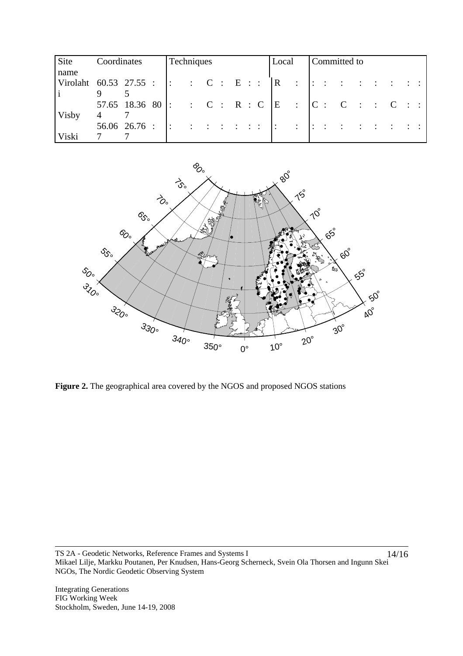| Site                                                                        | Coordinates |                                | Techniques |  |  |  | Local                                                                                                                 | Committed to |  |  |  |  |  |  |  |  |  |
|-----------------------------------------------------------------------------|-------------|--------------------------------|------------|--|--|--|-----------------------------------------------------------------------------------------------------------------------|--------------|--|--|--|--|--|--|--|--|--|
| name                                                                        |             |                                |            |  |  |  |                                                                                                                       |              |  |  |  |  |  |  |  |  |  |
| Virolaht 60.53 27.55 : $ \cdot $ : C : E : $ R$ : $ \cdot $ : : : : : : : : |             |                                |            |  |  |  |                                                                                                                       |              |  |  |  |  |  |  |  |  |  |
|                                                                             |             |                                |            |  |  |  |                                                                                                                       |              |  |  |  |  |  |  |  |  |  |
|                                                                             |             | 57.65 18.36 80 :               |            |  |  |  | C: C: R: C   E :   C: C : C : C :                                                                                     |              |  |  |  |  |  |  |  |  |  |
| Visby                                                                       |             |                                |            |  |  |  |                                                                                                                       |              |  |  |  |  |  |  |  |  |  |
|                                                                             |             | $56.06 \quad 26.76 : \quad  :$ |            |  |  |  | <u>s de de decada de la califación de la califación de la califación de la califación de la califación de la cali</u> |              |  |  |  |  |  |  |  |  |  |
| Viski                                                                       |             |                                |            |  |  |  |                                                                                                                       |              |  |  |  |  |  |  |  |  |  |



**Figure 2.** The geographical area covered by the NGOS and proposed NGOS stations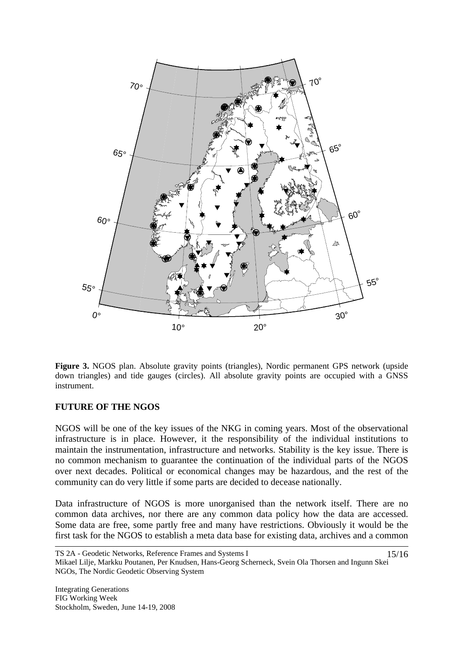

**Figure 3.** NGOS plan. Absolute gravity points (triangles), Nordic permanent GPS network (upside down triangles) and tide gauges (circles). All absolute gravity points are occupied with a GNSS instrument.

#### **FUTURE OF THE NGOS**

NGOS will be one of the key issues of the NKG in coming years. Most of the observational infrastructure is in place. However, it the responsibility of the individual institutions to maintain the instrumentation, infrastructure and networks. Stability is the key issue. There is no common mechanism to guarantee the continuation of the individual parts of the NGOS over next decades. Political or economical changes may be hazardous, and the rest of the community can do very little if some parts are decided to decease nationally.

Data infrastructure of NGOS is more unorganised than the network itself. There are no common data archives, nor there are any common data policy how the data are accessed. Some data are free, some partly free and many have restrictions. Obviously it would be the first task for the NGOS to establish a meta data base for existing data, archives and a common